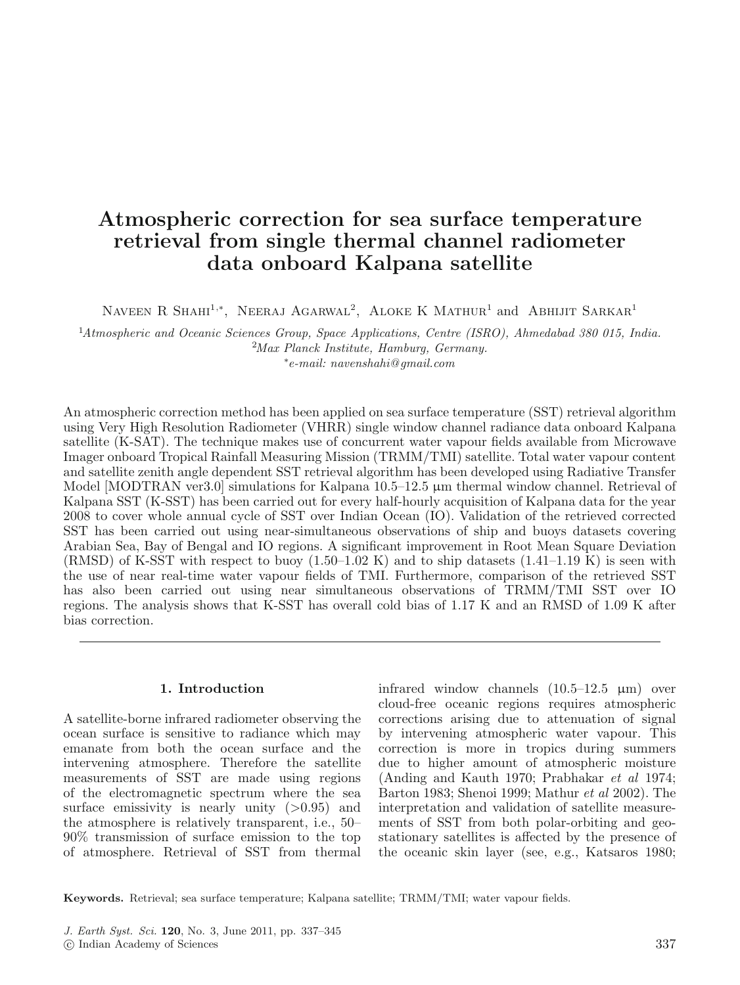# **Atmospheric correction for sea surface temperature retrieval from single thermal channel radiometer data onboard Kalpana satellite**

NAVEEN R SHAHI<sup>1,\*</sup>, NEERAJ AGARWAL<sup>2</sup>, ALOKE K MATHUR<sup>1</sup> and ABHIJIT SARKAR<sup>1</sup>

<sup>1</sup>Atmospheric and Oceanic Sciences Group, Space Applications, Centre (ISRO), Ahmedabad 380 015, India. 2 Max Planck Institute, Hamburg, Germany.

∗ e-mail: navenshahi@gmail.com

An atmospheric correction method has been applied on sea surface temperature (SST) retrieval algorithm using Very High Resolution Radiometer (VHRR) single window channel radiance data onboard Kalpana satellite (K-SAT). The technique makes use of concurrent water vapour fields available from Microwave Imager onboard Tropical Rainfall Measuring Mission (TRMM/TMI) satellite. Total water vapour content and satellite zenith angle dependent SST retrieval algorithm has been developed using Radiative Transfer Model [MODTRAN ver3.0] simulations for Kalpana 10.5–12.5 μm thermal window channel. Retrieval of Kalpana SST (K-SST) has been carried out for every half-hourly acquisition of Kalpana data for the year 2008 to cover whole annual cycle of SST over Indian Ocean (IO). Validation of the retrieved corrected SST has been carried out using near-simultaneous observations of ship and buoys datasets covering Arabian Sea, Bay of Bengal and IO regions. A significant improvement in Root Mean Square Deviation (RMSD) of K-SST with respect to buoy  $(1.50-1.02 \text{ K})$  and to ship datasets  $(1.41-1.19 \text{ K})$  is seen with the use of near real-time water vapour fields of TMI. Furthermore, comparison of the retrieved SST has also been carried out using near simultaneous observations of TRMM/TMI SST over IO regions. The analysis shows that K-SST has overall cold bias of 1.17 K and an RMSD of 1.09 K after bias correction.

## **1. Introduction**

A satellite-borne infrared radiometer observing the ocean surface is sensitive to radiance which may emanate from both the ocean surface and the intervening atmosphere. Therefore the satellite measurements of SST are made using regions of the electromagnetic spectrum where the sea surface emissivity is nearly unity  $(>0.95)$  and the atmosphere is relatively transparent, i.e., 50– 90% transmission of surface emission to the top of atmosphere. Retrieval of SST from thermal infrared window channels  $(10.5-12.5 \mu m)$  over cloud-free oceanic regions requires atmospheric corrections arising due to attenuation of signal by intervening atmospheric water vapour. This correction is more in tropics during summers due to higher amount of atmospheric moisture (Anding and Kauth 1970; Prabhakar et al 1974; Barton 1983; Shenoi 1999; Mathur et al 2002). The interpretation and validation of satellite measurements of SST from both polar-orbiting and geostationary satellites is affected by the presence of the oceanic skin layer (see, e.g., Katsaros 1980;

**Keywords.** Retrieval; sea surface temperature; Kalpana satellite; TRMM/TMI; water vapour fields.

J. Earth Syst. Sci. **120**, No. 3, June 2011, pp. 337–345

<sup>-</sup>c Indian Academy of Sciences 337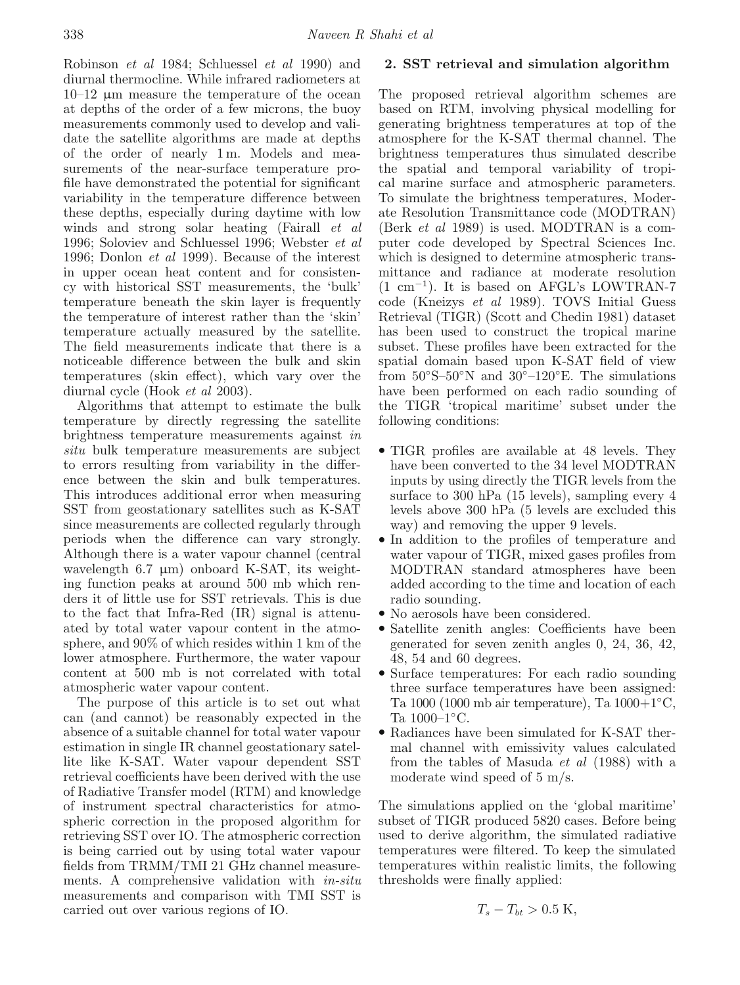Robinson et al 1984; Schluessel et al 1990) and diurnal thermocline. While infrared radiometers at 10–12 μm measure the temperature of the ocean at depths of the order of a few microns, the buoy measurements commonly used to develop and validate the satellite algorithms are made at depths of the order of nearly 1 m. Models and measurements of the near-surface temperature profile have demonstrated the potential for significant variability in the temperature difference between these depths, especially during daytime with low winds and strong solar heating (Fairall *et al* 1996; Soloviev and Schluessel 1996; Webster et al 1996; Donlon et al 1999). Because of the interest in upper ocean heat content and for consistency with historical SST measurements, the 'bulk' temperature beneath the skin layer is frequently the temperature of interest rather than the 'skin' temperature actually measured by the satellite. The field measurements indicate that there is a noticeable difference between the bulk and skin temperatures (skin effect), which vary over the diurnal cycle (Hook et al 2003).

Algorithms that attempt to estimate the bulk temperature by directly regressing the satellite brightness temperature measurements against in situ bulk temperature measurements are subject to errors resulting from variability in the difference between the skin and bulk temperatures. This introduces additional error when measuring SST from geostationary satellites such as K-SAT since measurements are collected regularly through periods when the difference can vary strongly. Although there is a water vapour channel (central wavelength 6.7 μm) onboard K-SAT, its weighting function peaks at around 500 mb which renders it of little use for SST retrievals. This is due to the fact that Infra-Red (IR) signal is attenuated by total water vapour content in the atmosphere, and 90% of which resides within 1 km of the lower atmosphere. Furthermore, the water vapour content at 500 mb is not correlated with total atmospheric water vapour content.

The purpose of this article is to set out what can (and cannot) be reasonably expected in the absence of a suitable channel for total water vapour estimation in single IR channel geostationary satellite like K-SAT. Water vapour dependent SST retrieval coefficients have been derived with the use of Radiative Transfer model (RTM) and knowledge of instrument spectral characteristics for atmospheric correction in the proposed algorithm for retrieving SST over IO. The atmospheric correction is being carried out by using total water vapour fields from TRMM/TMI 21 GHz channel measurements. A comprehensive validation with in-situ measurements and comparison with TMI SST is carried out over various regions of IO.

# **2. SST retrieval and simulation algorithm**

The proposed retrieval algorithm schemes are based on RTM, involving physical modelling for generating brightness temperatures at top of the atmosphere for the K-SAT thermal channel. The brightness temperatures thus simulated describe the spatial and temporal variability of tropical marine surface and atmospheric parameters. To simulate the brightness temperatures, Moderate Resolution Transmittance code (MODTRAN) (Berk et al 1989) is used. MODTRAN is a computer code developed by Spectral Sciences Inc. which is designed to determine atmospheric transmittance and radiance at moderate resolution (1 cm<sup>−</sup><sup>1</sup>). It is based on AFGL's LOWTRAN-7 code (Kneizys et al 1989). TOVS Initial Guess Retrieval (TIGR) (Scott and Chedin 1981) dataset has been used to construct the tropical marine subset. These profiles have been extracted for the spatial domain based upon K-SAT field of view from  $50^{\circ}S-50^{\circ}N$  and  $30^{\circ}-120^{\circ}E$ . The simulations have been performed on each radio sounding of the TIGR 'tropical maritime' subset under the following conditions:

- TIGR profiles are available at 48 levels. They have been converted to the 34 level MODTRAN inputs by using directly the TIGR levels from the surface to 300 hPa (15 levels), sampling every 4 levels above 300 hPa (5 levels are excluded this way) and removing the upper 9 levels.
- In addition to the profiles of temperature and water vapour of TIGR, mixed gases profiles from MODTRAN standard atmospheres have been added according to the time and location of each radio sounding.
- No aerosols have been considered.
- Satellite zenith angles: Coefficients have been generated for seven zenith angles 0, 24, 36, 42, 48, 54 and 60 degrees.
- Surface temperatures: For each radio sounding three surface temperatures have been assigned: Ta 1000 (1000 mb air temperature), Ta 1000+1◦C, Ta 1000–1◦C.
- Radiances have been simulated for K-SAT thermal channel with emissivity values calculated from the tables of Masuda et al (1988) with a moderate wind speed of 5 m/s.

The simulations applied on the 'global maritime' subset of TIGR produced 5820 cases. Before being used to derive algorithm, the simulated radiative temperatures were filtered. To keep the simulated temperatures within realistic limits, the following thresholds were finally applied:

$$
T_s - T_{bt} > 0.5 \text{ K},
$$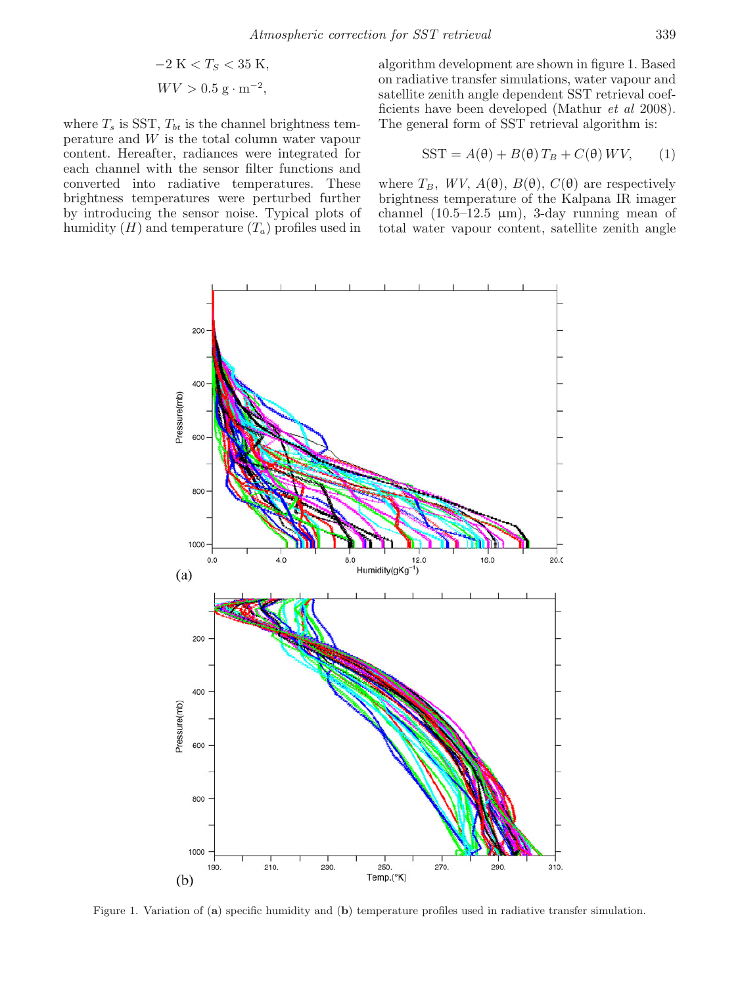$$
-2 K < T_S < 35 K,
$$
\n
$$
WV > 0.5 \, \text{g} \cdot \text{m}^{-2},
$$

where  $T_s$  is SST,  $T_{bt}$  is the channel brightness temperature and W is the total column water vapour content. Hereafter, radiances were integrated for each channel with the sensor filter functions and converted into radiative temperatures. These brightness temperatures were perturbed further by introducing the sensor noise. Typical plots of humidity  $(H)$  and temperature  $(T_a)$  profiles used in

algorithm development are shown in figure 1. Based on radiative transfer simulations, water vapour and satellite zenith angle dependent SST retrieval coefficients have been developed (Mathur et al 2008). The general form of SST retrieval algorithm is:

$$
SST = A(\theta) + B(\theta) T_B + C(\theta) WV, \qquad (1)
$$

where  $T_B$ , WV,  $A(\theta)$ ,  $B(\theta)$ ,  $C(\theta)$  are respectively brightness temperature of the Kalpana IR imager channel  $(10.5-12.5 \mu m)$ , 3-day running mean of total water vapour content, satellite zenith angle



Figure 1. Variation of (**a**) specific humidity and (**b**) temperature profiles used in radiative transfer simulation.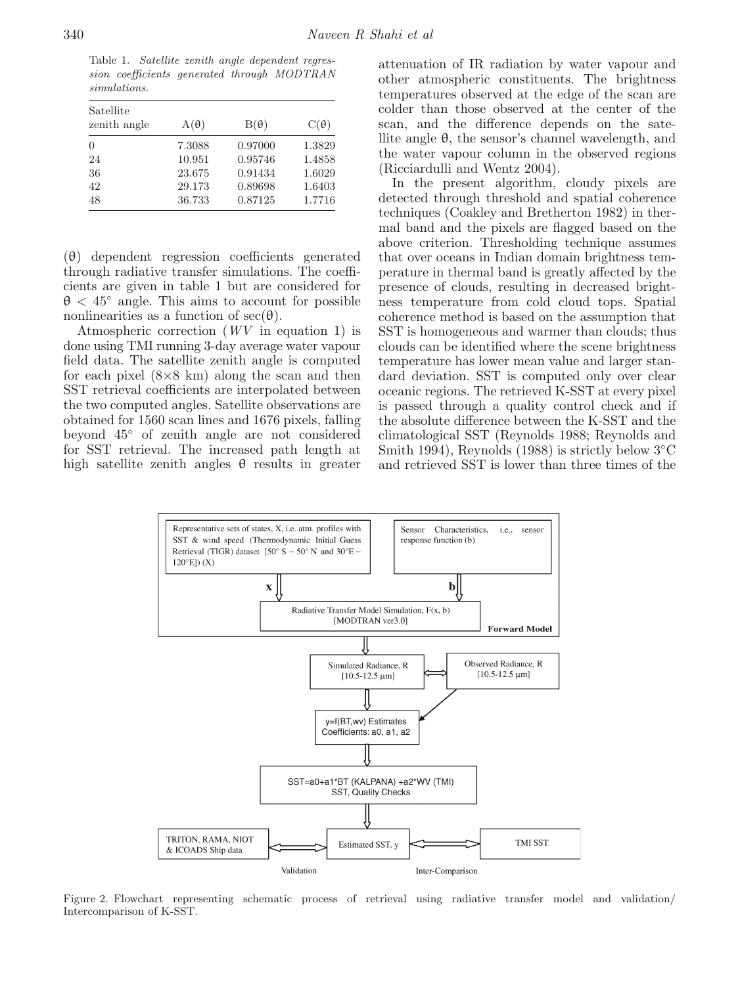Table 1. Satellite zenith angle dependent regression coefficients generated through MODTRAN simulations.

| Satellite<br>zenith angle | $A(\theta)$ | $B(\theta)$ | $C(\theta)$ |
|---------------------------|-------------|-------------|-------------|
| 0                         | 7.3088      | 0.97000     | 1.3829      |
| 24                        | 10.951      | 0.95746     | 1.4858      |
| 36                        | 23.675      | 0.91434     | 1.6029      |
| 42                        | 29.173      | 0.89698     | 1.6403      |
| 48                        | 36.733      | 0.87125     | 1.7716      |

(θ) dependent regression coefficients generated through radiative transfer simulations. The coefficients are given in table 1 but are considered for  $\theta$  < 45° angle. This aims to account for possible nonlinearities as a function of  $\sec(\theta)$ .

Atmospheric correction (WV in equation 1) is done using TMI running 3-day average water vapour field data. The satellite zenith angle is computed for each pixel  $(8\times8 \text{ km})$  along the scan and then SST retrieval coefficients are interpolated between the two computed angles. Satellite observations are obtained for 1560 scan lines and 1676 pixels, falling beyond 45◦ of zenith angle are not considered for SST retrieval. The increased path length at high satellite zenith angles  $\theta$  results in greater

attenuation of IR radiation by water vapour and other atmospheric constituents. The brightness temperatures observed at the edge of the scan are colder than those observed at the center of the scan, and the difference depends on the satellite angle θ, the sensor's channel wavelength, and the water vapour column in the observed regions (Ricciardulli and Wentz 2004).

In the present algorithm, cloudy pixels are detected through threshold and spatial coherence techniques (Coakley and Bretherton 1982) in thermal band and the pixels are flagged based on the above criterion. Thresholding technique assumes that over oceans in Indian domain brightness temperature in thermal band is greatly affected by the presence of clouds, resulting in decreased brightness temperature from cold cloud tops. Spatial coherence method is based on the assumption that SST is homogeneous and warmer than clouds; thus clouds can be identified where the scene brightness temperature has lower mean value and larger standard deviation. SST is computed only over clear oceanic regions. The retrieved K-SST at every pixel is passed through a quality control check and if the absolute difference between the K-SST and the climatological SST (Reynolds 1988; Reynolds and Smith 1994), Reynolds (1988) is strictly below 3◦C and retrieved SST is lower than three times of the



Figure 2. Flowchart representing schematic process of retrieval using radiative transfer model and validation/ Intercomparison of K-SST.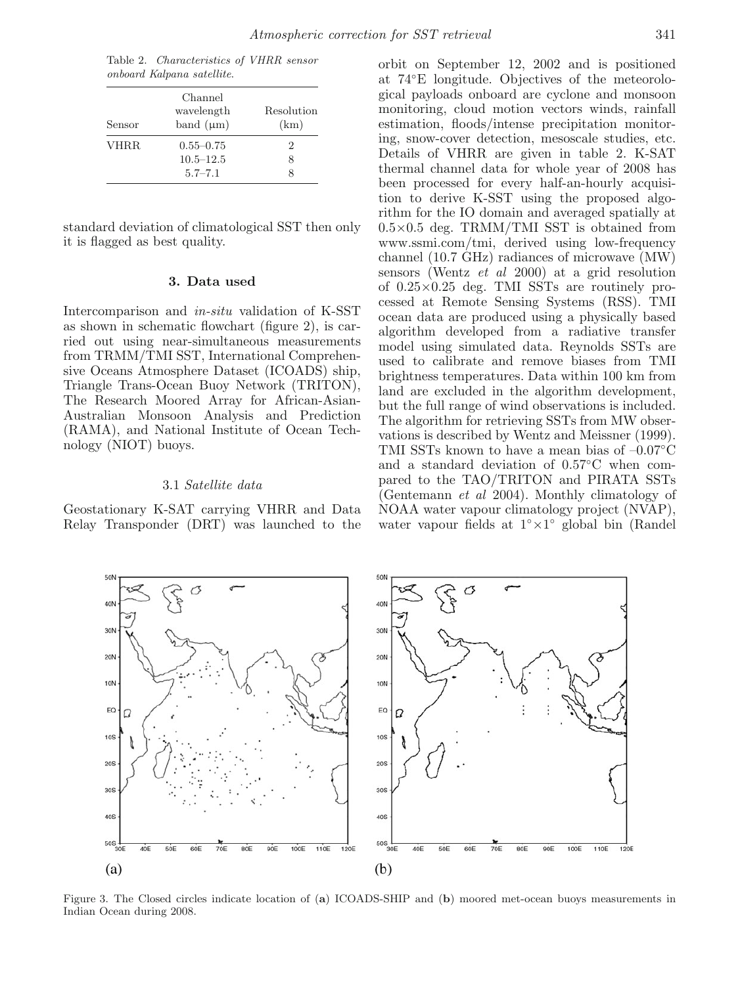Table 2. Characteristics of VHRR sensor onboard Kalpana satellite.

| Sensor      | Channel<br>wavelength<br>band $(\mu m)$       | Resolution<br>(km) |
|-------------|-----------------------------------------------|--------------------|
| <b>VHRR</b> | $0.55 - 0.75$<br>$10.5 - 12.5$<br>$5.7 - 7.1$ | 2<br>8<br>x        |

standard deviation of climatological SST then only it is flagged as best quality.

### **3. Data used**

Intercomparison and in-situ validation of K-SST as shown in schematic flowchart (figure 2), is carried out using near-simultaneous measurements from TRMM/TMI SST, International Comprehensive Oceans Atmosphere Dataset (ICOADS) ship, Triangle Trans-Ocean Buoy Network (TRITON), The Research Moored Array for African-Asian-Australian Monsoon Analysis and Prediction (RAMA), and National Institute of Ocean Technology (NIOT) buoys.

#### 3.1 Satellite data

Geostationary K-SAT carrying VHRR and Data Relay Transponder (DRT) was launched to the

orbit on September 12, 2002 and is positioned at 74◦E longitude. Objectives of the meteorological payloads onboard are cyclone and monsoon monitoring, cloud motion vectors winds, rainfall estimation, floods/intense precipitation monitoring, snow-cover detection, mesoscale studies, etc. Details of VHRR are given in table 2. K-SAT thermal channel data for whole year of 2008 has been processed for every half-an-hourly acquisition to derive K-SST using the proposed algorithm for the IO domain and averaged spatially at  $0.5\times0.5$  deg. TRMM/TMI SST is obtained from www.ssmi.com/tmi, derived using low-frequency channel (10.7 GHz) radiances of microwave (MW) sensors (Wentz et al 2000) at a grid resolution of 0.25×0.25 deg. TMI SSTs are routinely processed at Remote Sensing Systems (RSS). TMI ocean data are produced using a physically based algorithm developed from a radiative transfer model using simulated data. Reynolds SSTs are used to calibrate and remove biases from TMI brightness temperatures. Data within 100 km from land are excluded in the algorithm development, but the full range of wind observations is included. The algorithm for retrieving SSTs from MW observations is described by Wentz and Meissner (1999). TMI SSTs known to have a mean bias of –0.07◦C and a standard deviation of 0.57◦C when compared to the TAO/TRITON and PIRATA SSTs (Gentemann et al 2004). Monthly climatology of NOAA water vapour climatology project (NVAP), water vapour fields at 1◦×1◦ global bin (Randel



Figure 3. The Closed circles indicate location of (**a**) ICOADS-SHIP and (**b**) moored met-ocean buoys measurements in Indian Ocean during 2008.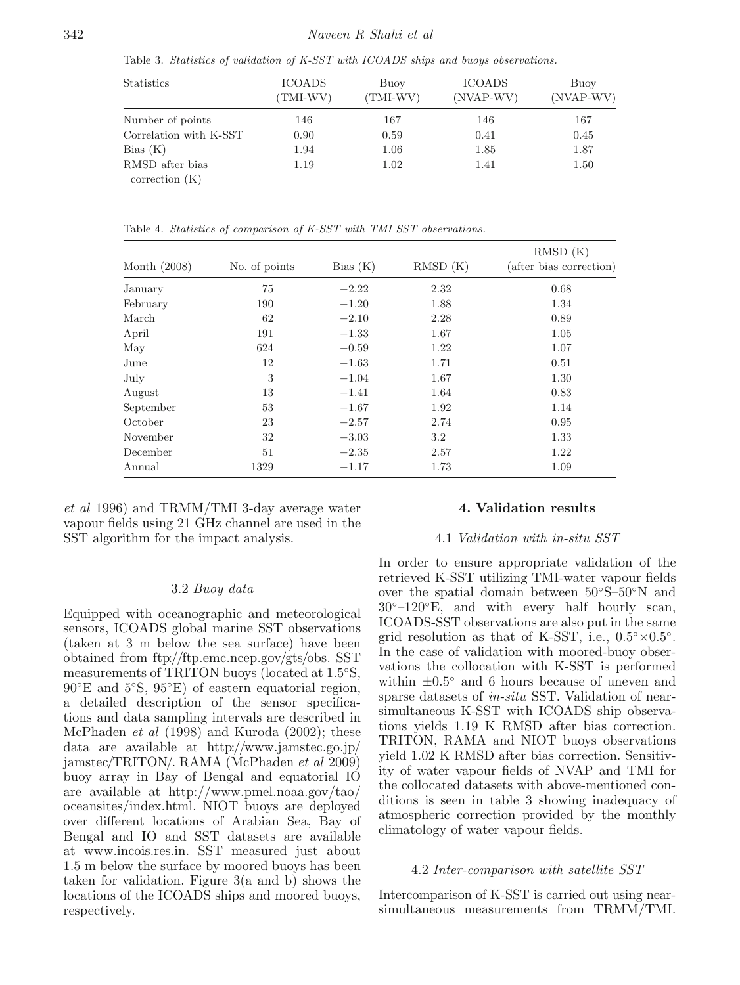Table 3. Statistics of validation of K-SST with ICOADS ships and buoys observations.

| <b>Statistics</b>                   | <b>ICOADS</b><br>(TMI-WV) | Buoy<br>$(TMI-WV)$ | <b>ICOADS</b><br>(NVAP-WV) | Buoy<br>$(NVAP-WV)$ |
|-------------------------------------|---------------------------|--------------------|----------------------------|---------------------|
| Number of points                    | 146                       | 167                | 146                        | 167                 |
| Correlation with K-SST              | 0.90                      | 0.59               | 0.41                       | 0.45                |
| Bias(K)                             | 1.94                      | 1.06               | 1.85                       | 1.87                |
| RMSD after bias<br>correction $(K)$ | 1.19                      | 1.02               | 1.41                       | 1.50                |

Table 4. Statistics of comparison of K-SST with TMI SST observations.

| Month $(2008)$ | No. of points | Bias $(K)$ | RMSD(K) | RMSD(K)<br>(after bias correction) |
|----------------|---------------|------------|---------|------------------------------------|
| January        | 75            | $-2.22$    | 2.32    | 0.68                               |
| February       | 190           | $-1.20$    | 1.88    | 1.34                               |
| March          | 62            | $-2.10$    | 2.28    | 0.89                               |
| April          | 191           | $-1.33$    | 1.67    | 1.05                               |
| May            | 624           | $-0.59$    | 1.22    | 1.07                               |
| June           | 12            | $-1.63$    | 1.71    | 0.51                               |
| July           | 3             | $-1.04$    | 1.67    | 1.30                               |
| August         | 13            | $-1.41$    | 1.64    | 0.83                               |
| September      | 53            | $-1.67$    | 1.92    | 1.14                               |
| October        | 23            | $-2.57$    | 2.74    | 0.95                               |
| November       | 32            | $-3.03$    | 3.2     | 1.33                               |
| December       | 51            | $-2.35$    | 2.57    | 1.22                               |
| Annual         | 1329          | $-1.17$    | 1.73    | 1.09                               |

et al 1996) and TRMM/TMI 3-day average water vapour fields using 21 GHz channel are used in the SST algorithm for the impact analysis.

## 3.2 Buoy data

Equipped with oceanographic and meteorological sensors, ICOADS global marine SST observations (taken at 3 m below the sea surface) have been obtained from ftp://ftp.emc.ncep.gov/gts/obs. SST measurements of TRITON buoys (located at 1.5◦S,  $90^{\circ}$ E and  $5^{\circ}$ S,  $95^{\circ}$ E) of eastern equatorial region, a detailed description of the sensor specifications and data sampling intervals are described in McPhaden *et al* (1998) and Kuroda (2002); these data are available at http://www.jamstec.go.jp/ jamstec/TRITON/. RAMA (McPhaden et al 2009) buoy array in Bay of Bengal and equatorial IO are available at http://www.pmel.noaa.gov/tao/ oceansites/index.html. NIOT buoys are deployed over different locations of Arabian Sea, Bay of Bengal and IO and SST datasets are available at www.incois.res.in. SST measured just about 1.5 m below the surface by moored buoys has been taken for validation. Figure 3(a and b) shows the locations of the ICOADS ships and moored buoys, respectively.

# **4. Validation results**

#### 4.1 Validation with in-situ SST

In order to ensure appropriate validation of the retrieved K-SST utilizing TMI-water vapour fields over the spatial domain between 50◦S–50◦N and  $30^{\circ}-120^{\circ}$ E, and with every half hourly scan, ICOADS-SST observations are also put in the same grid resolution as that of K-SST, i.e.,  $0.5° \times 0.5°$ . In the case of validation with moored-buoy observations the collocation with K-SST is performed within  $\pm 0.5^{\circ}$  and 6 hours because of uneven and sparse datasets of in-situ SST. Validation of nearsimultaneous K-SST with ICOADS ship observations yields 1.19 K RMSD after bias correction. TRITON, RAMA and NIOT buoys observations yield 1.02 K RMSD after bias correction. Sensitivity of water vapour fields of NVAP and TMI for the collocated datasets with above-mentioned conditions is seen in table 3 showing inadequacy of atmospheric correction provided by the monthly climatology of water vapour fields.

### 4.2 Inter-comparison with satellite SST

Intercomparison of K-SST is carried out using nearsimultaneous measurements from TRMM/TMI.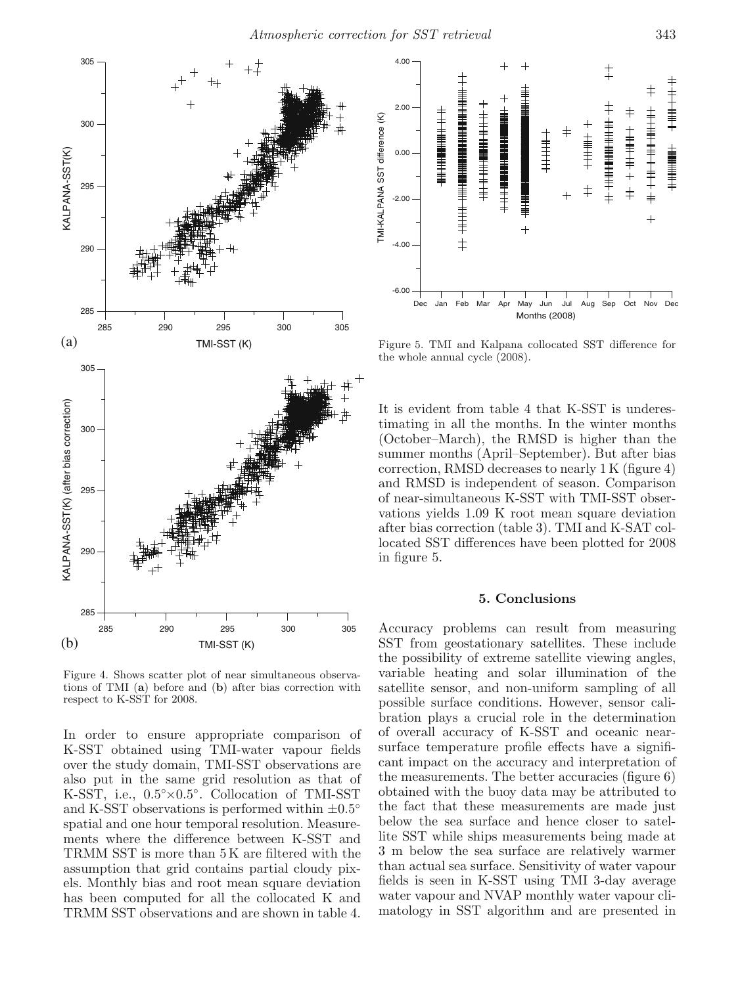

Figure 4. Shows scatter plot of near simultaneous observations of TMI (**a**) before and (**b**) after bias correction with respect to K-SST for 2008.

In order to ensure appropriate comparison of K-SST obtained using TMI-water vapour fields over the study domain, TMI-SST observations are also put in the same grid resolution as that of K-SST, i.e., 0.5◦ ×0.5◦. Collocation of TMI-SST and K-SST observations is performed within  $\pm 0.5^{\circ}$ spatial and one hour temporal resolution. Measurements where the difference between K-SST and TRMM SST is more than 5 K are filtered with the assumption that grid contains partial cloudy pixels. Monthly bias and root mean square deviation has been computed for all the collocated K and TRMM SST observations and are shown in table 4.



Figure 5. TMI and Kalpana collocated SST difference for the whole annual cycle (2008).

It is evident from table 4 that K-SST is underestimating in all the months. In the winter months (October–March), the RMSD is higher than the summer months (April–September). But after bias correction, RMSD decreases to nearly 1 K (figure 4) and RMSD is independent of season. Comparison of near-simultaneous K-SST with TMI-SST observations yields 1.09 K root mean square deviation after bias correction (table 3). TMI and K-SAT collocated SST differences have been plotted for 2008 in figure 5.

## **5. Conclusions**

Accuracy problems can result from measuring SST from geostationary satellites. These include the possibility of extreme satellite viewing angles, variable heating and solar illumination of the satellite sensor, and non-uniform sampling of all possible surface conditions. However, sensor calibration plays a crucial role in the determination of overall accuracy of K-SST and oceanic nearsurface temperature profile effects have a significant impact on the accuracy and interpretation of the measurements. The better accuracies (figure 6) obtained with the buoy data may be attributed to the fact that these measurements are made just below the sea surface and hence closer to satellite SST while ships measurements being made at 3 m below the sea surface are relatively warmer than actual sea surface. Sensitivity of water vapour fields is seen in K-SST using TMI 3-day average water vapour and NVAP monthly water vapour climatology in SST algorithm and are presented in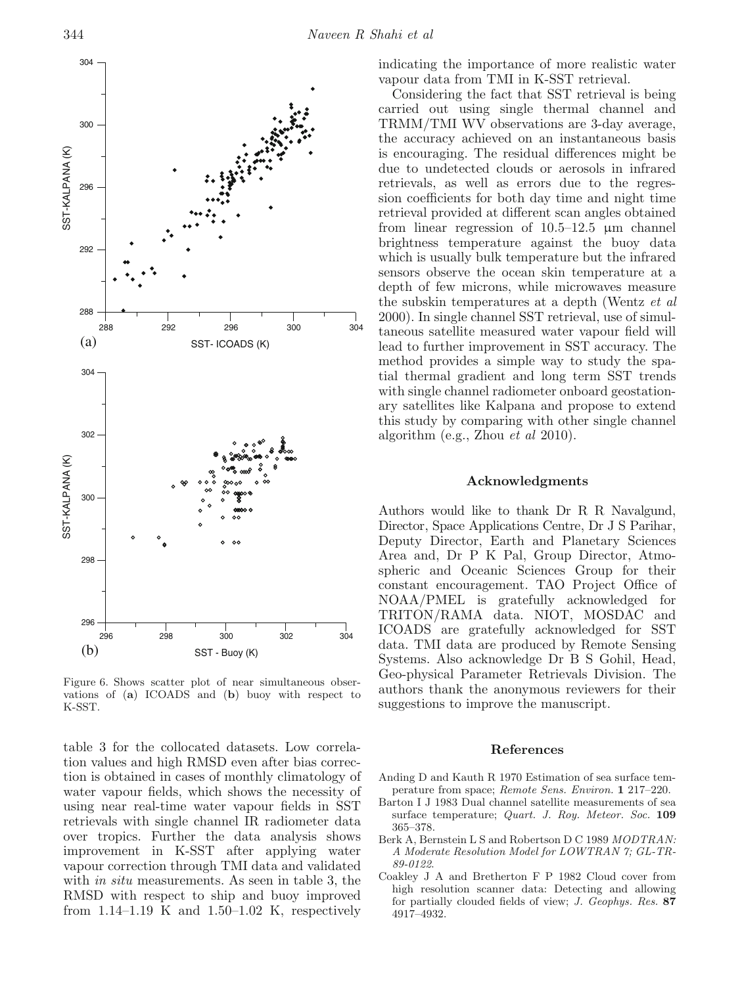

Figure 6. Shows scatter plot of near simultaneous observations of (**a**) ICOADS and (**b**) buoy with respect to K-SST.

table 3 for the collocated datasets. Low correlation values and high RMSD even after bias correction is obtained in cases of monthly climatology of water vapour fields, which shows the necessity of using near real-time water vapour fields in SST retrievals with single channel IR radiometer data over tropics. Further the data analysis shows improvement in K-SST after applying water vapour correction through TMI data and validated with *in situ* measurements. As seen in table 3, the RMSD with respect to ship and buoy improved from 1.14–1.19 K and 1.50–1.02 K, respectively indicating the importance of more realistic water vapour data from TMI in K-SST retrieval.

Considering the fact that SST retrieval is being carried out using single thermal channel and TRMM/TMI WV observations are 3-day average, the accuracy achieved on an instantaneous basis is encouraging. The residual differences might be due to undetected clouds or aerosols in infrared retrievals, as well as errors due to the regression coefficients for both day time and night time retrieval provided at different scan angles obtained from linear regression of  $10.5-12.5 \mu m$  channel brightness temperature against the buoy data which is usually bulk temperature but the infrared sensors observe the ocean skin temperature at a depth of few microns, while microwaves measure the subskin temperatures at a depth (Wentz et al 2000). In single channel SST retrieval, use of simultaneous satellite measured water vapour field will lead to further improvement in SST accuracy. The method provides a simple way to study the spatial thermal gradient and long term SST trends with single channel radiometer onboard geostationary satellites like Kalpana and propose to extend this study by comparing with other single channel algorithm (e.g., Zhou et al 2010).

## **Acknowledgments**

Authors would like to thank Dr R R Navalgund, Director, Space Applications Centre, Dr J S Parihar, Deputy Director, Earth and Planetary Sciences Area and, Dr P K Pal, Group Director, Atmospheric and Oceanic Sciences Group for their constant encouragement. TAO Project Office of NOAA/PMEL is gratefully acknowledged for TRITON/RAMA data. NIOT, MOSDAC and ICOADS are gratefully acknowledged for SST data. TMI data are produced by Remote Sensing Systems. Also acknowledge Dr B S Gohil, Head, Geo-physical Parameter Retrievals Division. The authors thank the anonymous reviewers for their suggestions to improve the manuscript.

## **References**

- Anding D and Kauth R 1970 Estimation of sea surface temperature from space; Remote Sens. Environ. **1** 217–220.
- Barton I J 1983 Dual channel satellite measurements of sea surface temperature; Quart. J. Roy. Meteor. Soc. **109** 365–378.
- Berk A, Bernstein L S and Robertson D C 1989 MODTRAN: A Moderate Resolution Model for LOWTRAN 7; GL-TR-89-0122.
- Coakley J A and Bretherton F P 1982 Cloud cover from high resolution scanner data: Detecting and allowing for partially clouded fields of view; J. Geophys. Res. **87** 4917–4932.